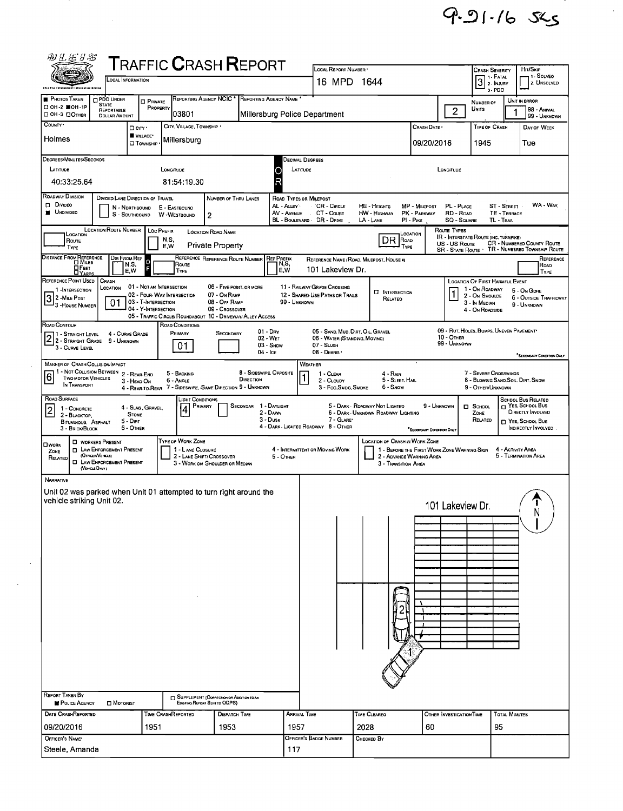$9.91 - 165$ 

| <b>T</b> RAFFIC <b>C</b> RASH <b>R</b> EPORT<br>LOCAL REPORT NUMBER<br>1 - SOLVEO<br>3 <sup>1. FATAL</sup><br>LOCAL INFORMATION<br>16 MPD 1644<br>2. UNSOLVED<br>this the folosement latermation System<br>$3 - PDO$<br><b>PHOTOS TAKEN</b><br><b>D PDO UNDER</b><br>REPORTING AGENCY NCIC<br>REPORTING AGENCY NAME<br>UNIT IN ERROR<br><b>PRIVATE</b><br>NUMBER OF<br><b>STATE</b><br>□ ОН-2 ■ОН-1Р<br>PROPERTY<br>$\overline{2}$<br>UNITS<br>98 - ANIMAL<br>REPORTABLE<br>03801<br>Millersburg Police Department<br>DOH-3 DOTHER<br><b>DOLLAR AMOUNT</b><br>99 - UNKNOWN<br>CITY, VILLAGE, TOWNSHIP .<br>CRASH DATE *<br>TIME OF CRASH<br>DAY OF WEEK<br>$\Box$ City $\cdot$<br>VILLAGE*<br>Holmes<br>Millersburg<br>09/20/2016<br>1945<br>Tue<br><b>CI</b> TOWNSHIP<br>DEGREES/MINUTES/SECONDS<br>Decimal Degrees<br>LATITUDE<br>LONGITUDE<br>LATITUDE<br>LONGITUDE<br>C<br>R<br>40:33:25.64<br>81:54:19.30<br><b>ROADWAY DIVISION</b><br><b>DIVIDED LANE DIRECTION OF TRAVEL</b><br>NUMBER OF THRU LANES<br>ROAD TYPES OR MILEPOST<br>D Divideo<br>WA - WAY<br>AL - ALLEY<br>CR - CIRCLE<br>PL - PLACE<br><b>ST - STREET</b><br>HE - HEIGHTS<br>MP - MILEPOST<br>N - NDRTHBOUND<br>E - EASTBOUND<br><b>N</b> UNDIVIDED<br>AV - AVENUE<br>CT - Count<br>PK - PARKWAY<br>RD - Road<br>TE - TERRACE<br><b>HW</b> - HIGHWAY<br>S - SDUTHBOUND<br>W - WESTBOUND<br>$\overline{2}$<br>BL - BOULEVARD -<br>DR - Dave<br>$LA$ - LANE<br>PI - PIKE<br>SQ - SQUARE<br>TL - TRAL<br><b>LOCATION ROUTE NUMBER</b><br>Route Types<br>LOC PREFIX<br><b>LOCATION ROAO NAME</b><br>Location<br>LOCATION<br><b>IR - INTERSTATE ROUTE (INC. TURNPIKE)</b><br>DR<br>N.S.<br>ROAO<br>ROUTE<br>CR - NUMBERED COUNTY ROUTE<br>US - US Route<br><b>Private Property</b><br>E,W<br>TYPE<br>Type<br>TR - NUMBERED TOWNSHIP ROUTE<br><b>SR - STATE ROUTE</b><br>DISTANCE FROM REFERENCE<br>Dir From Ref<br>REFERENCE REFERENCE ROUTE NUMBER<br><b>REF PREFIX</b><br>REFERENCE<br>REFERENCE NAME (ROAD, MILEPOST, HOUSE 4)<br>$\circ$<br>N,S,<br>Route<br>N,S,<br>Roap<br><b>OFEET</b><br>F<br>101 Lakeview Dr.<br>E,W<br>E,W<br>TYPE<br>TYPE<br><b>DYARDS</b><br>REFERENCE POINT USED<br><b>CRASH</b><br>LOCATION OF FIRST HARMFUL EVENT<br>01 - NOT AN INTERSECTION<br>06 - FIVE-POINT, OR MORE<br>11 - RAILWAY GRADE CROSSING<br>LOCATION<br>1 - On ROADWAY<br>1 - INTERSECTION<br>5 - On GDRE<br><b>NTERSECTION</b><br>1<br>02 - FOUR-WAY INTERSECTION<br>07 - On RAMP<br>12 - SHARED-USE PATHS OR TRAILS<br>2 - On Shoulde<br>3 2 MILE POST<br>6 - OUTSIDE TRAFFICWAY<br>RELATED<br>03 - T-INTERSECTION<br>01<br>08 - OFF RAMP<br>99 - UNKNOWN<br>3 - In Median<br>9 - UNKNOWN<br>3 - House NUMBER<br>04 - Y-INTERSECTION<br>09 - Crossover<br>4 - On ROADSIDE<br>05 - TRAFFIC CIRCLE/ ROUNDABOUT 10 - DRIVEWAY/ ALLEY ACCESS<br>ROAD CONDITIONS<br>09 - RUT, HOLES, BUMPS, UNEVEN PAVEMENT*<br>05 - SAND, MUD, DIRT, OIL, GRAVEL<br>$01 - \text{Dry}$<br>PRIMARY<br>4 - CURVE GRADE<br>1 - Straight Level<br>Secondary<br>2 2 - STRAIGHT LEVEL<br>$10 -$ OTHER<br>02 - WET<br>06 - WATER (STANDING, MOVING)<br>9 - UNKNOWN<br>99 - UNKNOWN<br>$03 -$ SNDW<br>07 - SLUSH<br>01<br>3 - CURVE LEVEL<br>08 - DEBRIS<br>04 - Ice<br><b>SECONDARY CONDITION ONLY</b><br>MANNER OF CRASH COLLISION/IMPACT<br>WEATHER<br>1 - NOT COLLISION BETWEEN<br>8 - SIDESWIPE, OPPOSITE<br>7 - SEVERE CROSSWINDS<br>5 - BACKING<br>2 - REAR-END<br>$4 - R_{AlN}$<br>1 - CLEAR<br>$\overline{6}$<br><b>TWO MOTOR VEHICLES</b><br>DIRECTION<br>5 - SLEET, HAIL<br>8 - Blowing SAND, SOIL, DIRT, SNOW<br>6 - Angle<br>2 - CLOUDY<br>3 - HEAD-ON<br>IN TRANSPORT<br>4 - REAR-TO-REAR 7 - SIDESWIPE, SAME DIRECTION 9 - UNKNOWN<br>3 - Fog, SMDG, SMDKE<br>6 - Snow<br>9 - OTHER/UNKNOWN<br>ROAD SURFACE<br><b>SCHDOL BUS RELATED</b><br>LIGHT CONDITIONS<br>T YES, SCHOOL BUS<br>1 - DAYLIGHT<br>PRIMARY<br>5 - DARK - ROADWAY NOT LIGHTED<br>9 - UNKNOWN<br><b>SECONDAR</b><br>D SCHOOL<br>4 - Slag, Gravel,<br>1 - CONCRETE<br>4<br>$\overline{2}$<br>DIRECTLY INVOLVED<br>2 - DAWN<br>6 - DARK - UNKNOWN ROADWAY LIGHTING<br>ZONE<br><b>STONE</b><br>2 - BLACKTOP.<br>3 - Dusk<br>7 - GLARE*<br>RELATED<br>5 - Dirt<br>YES, SCHDOL BUS<br><b>BITUMINOUS, ASPHALT</b><br>4 - DARK - LIGHTED ROADWAY 8 - OTHER<br>6 - OTHER<br><b>INDIRECTLY INVOLVED</b><br>3 - BRICK/BLOCK<br>"SECONDARY CONDITION ONLY<br>TYPE OF WORK ZONE<br>LOCATION OF CRASH IN WORK ZONE<br><b>D</b> WORKERS PRESENT<br><b>OWORK</b><br><b>D</b> LAW ENFORCEMENT PRESENT<br>1 - LANE CLOSURE<br>4 - INTERMITTENT OR MOVING WORK<br>1 - BEFORE THE FIRST WORK ZONE WARNING SIGN<br>4 - ACTIVITY AREA<br>ZONE<br>(OFFICER VEHICLE)<br>5 - TERMINATION AREA<br>2 - LANE SHIFT/ CROSSOVER<br>2 - ADVANCE WARNING AREA<br>5 - OTHER<br>RELATED<br><b>D</b> LAW ENFORCEMENT PRESENT<br>3 - WORK ON SHOULDER OR MEDIAN<br>3 - Transition Area<br>(VEHOLEOMY)<br><b>NARRATIVE</b><br>Unit 02 was parked when Unit 01 attempted to turn right around the<br>vehicle striking Unit 02.<br>101 Lakeview Dr<br>N<br>REPORT TAKEN BY<br>SUPPLEMENT (CORRECTION OR ADDITION TO AN<br>POLICE AGENCY<br>EXISTING REPORT SENT TO ODPS)<br><b>D</b> MOTORIST<br>DATE CRASHREPORTED<br>TIME CRASHREPORTED<br>ARRIVAL TIME<br>TIME CLEAREO<br><b>TOTAL MINUTES</b><br><b>DISPATCH TIME</b><br>OTHER INVESTIGATION TIME<br>1957<br>2028<br>95<br>09/20/2016<br>1951<br>1953<br>60<br>OFFICER'S NAME'<br>OFFICER'S BADGE NUMBER<br>Снескер Вү<br>Steele, Amanda<br>117 | 羽工运日名        |  |  |  |  |  |  |  |  |  |                                  |  |  |  |  |  |
|------------------------------------------------------------------------------------------------------------------------------------------------------------------------------------------------------------------------------------------------------------------------------------------------------------------------------------------------------------------------------------------------------------------------------------------------------------------------------------------------------------------------------------------------------------------------------------------------------------------------------------------------------------------------------------------------------------------------------------------------------------------------------------------------------------------------------------------------------------------------------------------------------------------------------------------------------------------------------------------------------------------------------------------------------------------------------------------------------------------------------------------------------------------------------------------------------------------------------------------------------------------------------------------------------------------------------------------------------------------------------------------------------------------------------------------------------------------------------------------------------------------------------------------------------------------------------------------------------------------------------------------------------------------------------------------------------------------------------------------------------------------------------------------------------------------------------------------------------------------------------------------------------------------------------------------------------------------------------------------------------------------------------------------------------------------------------------------------------------------------------------------------------------------------------------------------------------------------------------------------------------------------------------------------------------------------------------------------------------------------------------------------------------------------------------------------------------------------------------------------------------------------------------------------------------------------------------------------------------------------------------------------------------------------------------------------------------------------------------------------------------------------------------------------------------------------------------------------------------------------------------------------------------------------------------------------------------------------------------------------------------------------------------------------------------------------------------------------------------------------------------------------------------------------------------------------------------------------------------------------------------------------------------------------------------------------------------------------------------------------------------------------------------------------------------------------------------------------------------------------------------------------------------------------------------------------------------------------------------------------------------------------------------------------------------------------------------------------------------------------------------------------------------------------------------------------------------------------------------------------------------------------------------------------------------------------------------------------------------------------------------------------------------------------------------------------------------------------------------------------------------------------------------------------------------------------------------------------------------------------------------------------------------------------------------------------------------------------------------------------------------------------------------------------------------------------------------------------------------------------------------------------------------------------------------------------------------------------------------------------------------------------------------------------------------------------------------------------------------------------------------------------------------------------------------------------------------------------------------------------------------------------------------------------------------------------------------------------------------------------------------------------------------------------------------------------------------------------------------------------------------------------------------------------------------------------------------------------------------------------------------------------------------------------------------------------------------------------------------------------------------------------------------------------------------------------------------------------------------|--------------|--|--|--|--|--|--|--|--|--|----------------------------------|--|--|--|--|--|
|                                                                                                                                                                                                                                                                                                                                                                                                                                                                                                                                                                                                                                                                                                                                                                                                                                                                                                                                                                                                                                                                                                                                                                                                                                                                                                                                                                                                                                                                                                                                                                                                                                                                                                                                                                                                                                                                                                                                                                                                                                                                                                                                                                                                                                                                                                                                                                                                                                                                                                                                                                                                                                                                                                                                                                                                                                                                                                                                                                                                                                                                                                                                                                                                                                                                                                                                                                                                                                                                                                                                                                                                                                                                                                                                                                                                                                                                                                                                                                                                                                                                                                                                                                                                                                                                                                                                                                                                                                                                                                                                                                                                                                                                                                                                                                                                                                                                                                                                                                                                                                                                                                                                                                                                                                                                                                                                                                                                                                                                                    |              |  |  |  |  |  |  |  |  |  |                                  |  |  |  |  |  |
|                                                                                                                                                                                                                                                                                                                                                                                                                                                                                                                                                                                                                                                                                                                                                                                                                                                                                                                                                                                                                                                                                                                                                                                                                                                                                                                                                                                                                                                                                                                                                                                                                                                                                                                                                                                                                                                                                                                                                                                                                                                                                                                                                                                                                                                                                                                                                                                                                                                                                                                                                                                                                                                                                                                                                                                                                                                                                                                                                                                                                                                                                                                                                                                                                                                                                                                                                                                                                                                                                                                                                                                                                                                                                                                                                                                                                                                                                                                                                                                                                                                                                                                                                                                                                                                                                                                                                                                                                                                                                                                                                                                                                                                                                                                                                                                                                                                                                                                                                                                                                                                                                                                                                                                                                                                                                                                                                                                                                                                                                    |              |  |  |  |  |  |  |  |  |  |                                  |  |  |  |  |  |
|                                                                                                                                                                                                                                                                                                                                                                                                                                                                                                                                                                                                                                                                                                                                                                                                                                                                                                                                                                                                                                                                                                                                                                                                                                                                                                                                                                                                                                                                                                                                                                                                                                                                                                                                                                                                                                                                                                                                                                                                                                                                                                                                                                                                                                                                                                                                                                                                                                                                                                                                                                                                                                                                                                                                                                                                                                                                                                                                                                                                                                                                                                                                                                                                                                                                                                                                                                                                                                                                                                                                                                                                                                                                                                                                                                                                                                                                                                                                                                                                                                                                                                                                                                                                                                                                                                                                                                                                                                                                                                                                                                                                                                                                                                                                                                                                                                                                                                                                                                                                                                                                                                                                                                                                                                                                                                                                                                                                                                                                                    | COUNTY .     |  |  |  |  |  |  |  |  |  |                                  |  |  |  |  |  |
|                                                                                                                                                                                                                                                                                                                                                                                                                                                                                                                                                                                                                                                                                                                                                                                                                                                                                                                                                                                                                                                                                                                                                                                                                                                                                                                                                                                                                                                                                                                                                                                                                                                                                                                                                                                                                                                                                                                                                                                                                                                                                                                                                                                                                                                                                                                                                                                                                                                                                                                                                                                                                                                                                                                                                                                                                                                                                                                                                                                                                                                                                                                                                                                                                                                                                                                                                                                                                                                                                                                                                                                                                                                                                                                                                                                                                                                                                                                                                                                                                                                                                                                                                                                                                                                                                                                                                                                                                                                                                                                                                                                                                                                                                                                                                                                                                                                                                                                                                                                                                                                                                                                                                                                                                                                                                                                                                                                                                                                                                    |              |  |  |  |  |  |  |  |  |  |                                  |  |  |  |  |  |
|                                                                                                                                                                                                                                                                                                                                                                                                                                                                                                                                                                                                                                                                                                                                                                                                                                                                                                                                                                                                                                                                                                                                                                                                                                                                                                                                                                                                                                                                                                                                                                                                                                                                                                                                                                                                                                                                                                                                                                                                                                                                                                                                                                                                                                                                                                                                                                                                                                                                                                                                                                                                                                                                                                                                                                                                                                                                                                                                                                                                                                                                                                                                                                                                                                                                                                                                                                                                                                                                                                                                                                                                                                                                                                                                                                                                                                                                                                                                                                                                                                                                                                                                                                                                                                                                                                                                                                                                                                                                                                                                                                                                                                                                                                                                                                                                                                                                                                                                                                                                                                                                                                                                                                                                                                                                                                                                                                                                                                                                                    |              |  |  |  |  |  |  |  |  |  |                                  |  |  |  |  |  |
|                                                                                                                                                                                                                                                                                                                                                                                                                                                                                                                                                                                                                                                                                                                                                                                                                                                                                                                                                                                                                                                                                                                                                                                                                                                                                                                                                                                                                                                                                                                                                                                                                                                                                                                                                                                                                                                                                                                                                                                                                                                                                                                                                                                                                                                                                                                                                                                                                                                                                                                                                                                                                                                                                                                                                                                                                                                                                                                                                                                                                                                                                                                                                                                                                                                                                                                                                                                                                                                                                                                                                                                                                                                                                                                                                                                                                                                                                                                                                                                                                                                                                                                                                                                                                                                                                                                                                                                                                                                                                                                                                                                                                                                                                                                                                                                                                                                                                                                                                                                                                                                                                                                                                                                                                                                                                                                                                                                                                                                                                    |              |  |  |  |  |  |  |  |  |  |                                  |  |  |  |  |  |
|                                                                                                                                                                                                                                                                                                                                                                                                                                                                                                                                                                                                                                                                                                                                                                                                                                                                                                                                                                                                                                                                                                                                                                                                                                                                                                                                                                                                                                                                                                                                                                                                                                                                                                                                                                                                                                                                                                                                                                                                                                                                                                                                                                                                                                                                                                                                                                                                                                                                                                                                                                                                                                                                                                                                                                                                                                                                                                                                                                                                                                                                                                                                                                                                                                                                                                                                                                                                                                                                                                                                                                                                                                                                                                                                                                                                                                                                                                                                                                                                                                                                                                                                                                                                                                                                                                                                                                                                                                                                                                                                                                                                                                                                                                                                                                                                                                                                                                                                                                                                                                                                                                                                                                                                                                                                                                                                                                                                                                                                                    |              |  |  |  |  |  |  |  |  |  |                                  |  |  |  |  |  |
|                                                                                                                                                                                                                                                                                                                                                                                                                                                                                                                                                                                                                                                                                                                                                                                                                                                                                                                                                                                                                                                                                                                                                                                                                                                                                                                                                                                                                                                                                                                                                                                                                                                                                                                                                                                                                                                                                                                                                                                                                                                                                                                                                                                                                                                                                                                                                                                                                                                                                                                                                                                                                                                                                                                                                                                                                                                                                                                                                                                                                                                                                                                                                                                                                                                                                                                                                                                                                                                                                                                                                                                                                                                                                                                                                                                                                                                                                                                                                                                                                                                                                                                                                                                                                                                                                                                                                                                                                                                                                                                                                                                                                                                                                                                                                                                                                                                                                                                                                                                                                                                                                                                                                                                                                                                                                                                                                                                                                                                                                    |              |  |  |  |  |  |  |  |  |  |                                  |  |  |  |  |  |
|                                                                                                                                                                                                                                                                                                                                                                                                                                                                                                                                                                                                                                                                                                                                                                                                                                                                                                                                                                                                                                                                                                                                                                                                                                                                                                                                                                                                                                                                                                                                                                                                                                                                                                                                                                                                                                                                                                                                                                                                                                                                                                                                                                                                                                                                                                                                                                                                                                                                                                                                                                                                                                                                                                                                                                                                                                                                                                                                                                                                                                                                                                                                                                                                                                                                                                                                                                                                                                                                                                                                                                                                                                                                                                                                                                                                                                                                                                                                                                                                                                                                                                                                                                                                                                                                                                                                                                                                                                                                                                                                                                                                                                                                                                                                                                                                                                                                                                                                                                                                                                                                                                                                                                                                                                                                                                                                                                                                                                                                                    |              |  |  |  |  |  |  |  |  |  | Hm/SKIP<br><b>CRASH SEVERITY</b> |  |  |  |  |  |
|                                                                                                                                                                                                                                                                                                                                                                                                                                                                                                                                                                                                                                                                                                                                                                                                                                                                                                                                                                                                                                                                                                                                                                                                                                                                                                                                                                                                                                                                                                                                                                                                                                                                                                                                                                                                                                                                                                                                                                                                                                                                                                                                                                                                                                                                                                                                                                                                                                                                                                                                                                                                                                                                                                                                                                                                                                                                                                                                                                                                                                                                                                                                                                                                                                                                                                                                                                                                                                                                                                                                                                                                                                                                                                                                                                                                                                                                                                                                                                                                                                                                                                                                                                                                                                                                                                                                                                                                                                                                                                                                                                                                                                                                                                                                                                                                                                                                                                                                                                                                                                                                                                                                                                                                                                                                                                                                                                                                                                                                                    |              |  |  |  |  |  |  |  |  |  |                                  |  |  |  |  |  |
|                                                                                                                                                                                                                                                                                                                                                                                                                                                                                                                                                                                                                                                                                                                                                                                                                                                                                                                                                                                                                                                                                                                                                                                                                                                                                                                                                                                                                                                                                                                                                                                                                                                                                                                                                                                                                                                                                                                                                                                                                                                                                                                                                                                                                                                                                                                                                                                                                                                                                                                                                                                                                                                                                                                                                                                                                                                                                                                                                                                                                                                                                                                                                                                                                                                                                                                                                                                                                                                                                                                                                                                                                                                                                                                                                                                                                                                                                                                                                                                                                                                                                                                                                                                                                                                                                                                                                                                                                                                                                                                                                                                                                                                                                                                                                                                                                                                                                                                                                                                                                                                                                                                                                                                                                                                                                                                                                                                                                                                                                    | ROAD CONTOUR |  |  |  |  |  |  |  |  |  |                                  |  |  |  |  |  |
|                                                                                                                                                                                                                                                                                                                                                                                                                                                                                                                                                                                                                                                                                                                                                                                                                                                                                                                                                                                                                                                                                                                                                                                                                                                                                                                                                                                                                                                                                                                                                                                                                                                                                                                                                                                                                                                                                                                                                                                                                                                                                                                                                                                                                                                                                                                                                                                                                                                                                                                                                                                                                                                                                                                                                                                                                                                                                                                                                                                                                                                                                                                                                                                                                                                                                                                                                                                                                                                                                                                                                                                                                                                                                                                                                                                                                                                                                                                                                                                                                                                                                                                                                                                                                                                                                                                                                                                                                                                                                                                                                                                                                                                                                                                                                                                                                                                                                                                                                                                                                                                                                                                                                                                                                                                                                                                                                                                                                                                                                    |              |  |  |  |  |  |  |  |  |  |                                  |  |  |  |  |  |
|                                                                                                                                                                                                                                                                                                                                                                                                                                                                                                                                                                                                                                                                                                                                                                                                                                                                                                                                                                                                                                                                                                                                                                                                                                                                                                                                                                                                                                                                                                                                                                                                                                                                                                                                                                                                                                                                                                                                                                                                                                                                                                                                                                                                                                                                                                                                                                                                                                                                                                                                                                                                                                                                                                                                                                                                                                                                                                                                                                                                                                                                                                                                                                                                                                                                                                                                                                                                                                                                                                                                                                                                                                                                                                                                                                                                                                                                                                                                                                                                                                                                                                                                                                                                                                                                                                                                                                                                                                                                                                                                                                                                                                                                                                                                                                                                                                                                                                                                                                                                                                                                                                                                                                                                                                                                                                                                                                                                                                                                                    |              |  |  |  |  |  |  |  |  |  |                                  |  |  |  |  |  |
|                                                                                                                                                                                                                                                                                                                                                                                                                                                                                                                                                                                                                                                                                                                                                                                                                                                                                                                                                                                                                                                                                                                                                                                                                                                                                                                                                                                                                                                                                                                                                                                                                                                                                                                                                                                                                                                                                                                                                                                                                                                                                                                                                                                                                                                                                                                                                                                                                                                                                                                                                                                                                                                                                                                                                                                                                                                                                                                                                                                                                                                                                                                                                                                                                                                                                                                                                                                                                                                                                                                                                                                                                                                                                                                                                                                                                                                                                                                                                                                                                                                                                                                                                                                                                                                                                                                                                                                                                                                                                                                                                                                                                                                                                                                                                                                                                                                                                                                                                                                                                                                                                                                                                                                                                                                                                                                                                                                                                                                                                    |              |  |  |  |  |  |  |  |  |  |                                  |  |  |  |  |  |
|                                                                                                                                                                                                                                                                                                                                                                                                                                                                                                                                                                                                                                                                                                                                                                                                                                                                                                                                                                                                                                                                                                                                                                                                                                                                                                                                                                                                                                                                                                                                                                                                                                                                                                                                                                                                                                                                                                                                                                                                                                                                                                                                                                                                                                                                                                                                                                                                                                                                                                                                                                                                                                                                                                                                                                                                                                                                                                                                                                                                                                                                                                                                                                                                                                                                                                                                                                                                                                                                                                                                                                                                                                                                                                                                                                                                                                                                                                                                                                                                                                                                                                                                                                                                                                                                                                                                                                                                                                                                                                                                                                                                                                                                                                                                                                                                                                                                                                                                                                                                                                                                                                                                                                                                                                                                                                                                                                                                                                                                                    |              |  |  |  |  |  |  |  |  |  |                                  |  |  |  |  |  |
|                                                                                                                                                                                                                                                                                                                                                                                                                                                                                                                                                                                                                                                                                                                                                                                                                                                                                                                                                                                                                                                                                                                                                                                                                                                                                                                                                                                                                                                                                                                                                                                                                                                                                                                                                                                                                                                                                                                                                                                                                                                                                                                                                                                                                                                                                                                                                                                                                                                                                                                                                                                                                                                                                                                                                                                                                                                                                                                                                                                                                                                                                                                                                                                                                                                                                                                                                                                                                                                                                                                                                                                                                                                                                                                                                                                                                                                                                                                                                                                                                                                                                                                                                                                                                                                                                                                                                                                                                                                                                                                                                                                                                                                                                                                                                                                                                                                                                                                                                                                                                                                                                                                                                                                                                                                                                                                                                                                                                                                                                    |              |  |  |  |  |  |  |  |  |  |                                  |  |  |  |  |  |
|                                                                                                                                                                                                                                                                                                                                                                                                                                                                                                                                                                                                                                                                                                                                                                                                                                                                                                                                                                                                                                                                                                                                                                                                                                                                                                                                                                                                                                                                                                                                                                                                                                                                                                                                                                                                                                                                                                                                                                                                                                                                                                                                                                                                                                                                                                                                                                                                                                                                                                                                                                                                                                                                                                                                                                                                                                                                                                                                                                                                                                                                                                                                                                                                                                                                                                                                                                                                                                                                                                                                                                                                                                                                                                                                                                                                                                                                                                                                                                                                                                                                                                                                                                                                                                                                                                                                                                                                                                                                                                                                                                                                                                                                                                                                                                                                                                                                                                                                                                                                                                                                                                                                                                                                                                                                                                                                                                                                                                                                                    |              |  |  |  |  |  |  |  |  |  |                                  |  |  |  |  |  |

 $\hat{\boldsymbol{\epsilon}}$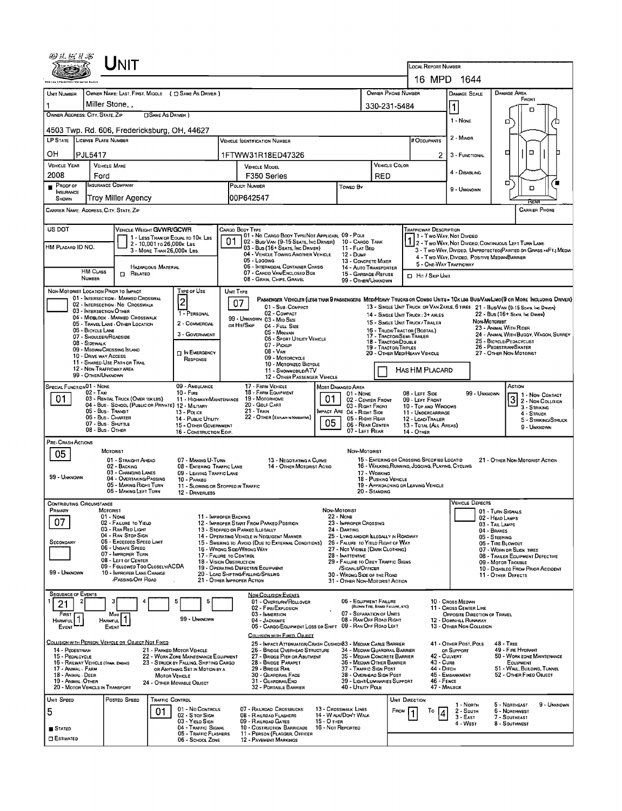| Unit                                                                                                                                    |                                                                                                                                                        |                                                                                    |                                                                                                 |                                                       |                                                                                                                        |
|-----------------------------------------------------------------------------------------------------------------------------------------|--------------------------------------------------------------------------------------------------------------------------------------------------------|------------------------------------------------------------------------------------|-------------------------------------------------------------------------------------------------|-------------------------------------------------------|------------------------------------------------------------------------------------------------------------------------|
|                                                                                                                                         |                                                                                                                                                        |                                                                                    | <b>LOCAL REPORT NUMBER</b>                                                                      |                                                       |                                                                                                                        |
|                                                                                                                                         |                                                                                                                                                        | OWNER PHONE NUMBER                                                                 | 16 MPD 1644                                                                                     |                                                       | <b>DAMAGE AREA</b>                                                                                                     |
| OWNER NAME: LAST, FIRST, MIDDLE ( C SAME AS DRIVER )<br><b>UNIT NUMBER</b><br>Miller Stone, ,                                           |                                                                                                                                                        | 330-231-5484                                                                       |                                                                                                 | <b>DAMAGE SCALE</b><br>1                              | FRONT                                                                                                                  |
| OWNER ADDRESS: CITY, STATE, ZIP<br>□SAME AS DRIVER)                                                                                     |                                                                                                                                                        |                                                                                    |                                                                                                 | 1 - None                                              | п                                                                                                                      |
| 4503 Twp. Rd. 606, Fredericksburg, OH, 44627                                                                                            |                                                                                                                                                        |                                                                                    |                                                                                                 |                                                       | ο                                                                                                                      |
| LP STATE LICENSE PLATE NUMBER                                                                                                           | <b>VEHICLE IDENTIFICATION NUMBER</b>                                                                                                                   |                                                                                    | # OCCUPANTS                                                                                     | 2 - MINOR                                             |                                                                                                                        |
| OН<br>PJL5417                                                                                                                           | 1FTWW31R18ED47326                                                                                                                                      |                                                                                    | 2.                                                                                              | 3 - FUNCTIONAL                                        | о<br>□                                                                                                                 |
| <b>VEHICLE YEAR</b><br><b>VEHICLE MAKE</b><br>2008<br>Ford                                                                              | VEHICLE MODEL<br>F350 Series                                                                                                                           | VEHICLE COLOR<br>RED                                                               |                                                                                                 | 4 - DISABLING                                         |                                                                                                                        |
| <b>INSURANCE COMPANY</b><br>Proof of<br><b>NSURANCE</b>                                                                                 | POLICY NUMBER                                                                                                                                          | Towed By                                                                           |                                                                                                 | 9 - UNKNOWN                                           | □<br>D                                                                                                                 |
| Trov Miller Agencv<br>SHOWN                                                                                                             | 00P642547                                                                                                                                              |                                                                                    |                                                                                                 |                                                       | RFAI                                                                                                                   |
| CARRIER NAME, ADORESS, CITY, STATE, ZIP                                                                                                 |                                                                                                                                                        |                                                                                    |                                                                                                 |                                                       | <b>CARRIER PHONE</b>                                                                                                   |
| US DOT<br>VEHICLE WEIGHT GVWR/GCWR                                                                                                      | CARGO BODY TYPE<br>01 - No CARGO BOOY TYPE/NOT APPLICABL 09 - POLE                                                                                     |                                                                                    | <b>TRAFFICWAY DESCRIPTION</b><br>1 - Two Way, Not Divided                                       |                                                       |                                                                                                                        |
| 1 - LESS THAN OR EQUAL TO 10K LBS<br>2 - 10,001 to 26,000k Las<br>HM PLACARD ID NO.<br>3 - MORE THAN 26,000K LBS.                       | 01<br>02 - Bus/Van (9-15 Seats, Inc Driver)<br>03 - Bus (16+ Seats, Inc Driver)                                                                        | 10 - Cargo Tank<br>11 - FLAT BED                                                   |                                                                                                 |                                                       | 2 - Two-WAY, NOT DIVIDED, CONTINUOUS LEFT TURN LANE<br>3 - Two-WAY, DIVIDED, UNPROTECTEO(PAINTED OR GRASS >4FT.) MEDIA |
|                                                                                                                                         | 04 - VEHICLE TOWING ANOTHER VEHICLE<br>05 - Logging<br>06 - INTERMOOAL CONTAINER CHASIS                                                                | <b>12 - DUMP</b><br>13 - CONCRETE MIXER                                            | 5 - ONE-WAY TRAFFICWAY                                                                          | 4 - Two WAY, DIVIDED, POSITIVE MEDIAN BARRIER         |                                                                                                                        |
| HAZARDOUS MATERIAL<br>HM CLASS<br>$\Box$ Related<br><b>NUMBER</b>                                                                       | 07 - CAROO VAN ENCLOSED BOX<br>08 - GRAIN, CHIPS, GRAVEL                                                                                               | 14 - AUTO TRANSPORTER<br>15 - GARBAGE / REFUSE<br>99 - OTHER/LINKNOWN              | <b>D</b> HIT / SKIP UNIT                                                                        |                                                       |                                                                                                                        |
| NON-MOTORIST LOCATION PRIOR TO IMPACT<br>Type or Use                                                                                    | UNIT TYPE                                                                                                                                              |                                                                                    |                                                                                                 |                                                       |                                                                                                                        |
| 01 - INTERSECTION - MARKED CROSSWAL<br>$\overline{c}$<br>02 - INTERSECTION - NO CROSSWALK                                               | PASSENGER VEHICLES (LESS THAN 9 PASSENGERS MEDIMEAVY TRUCKS OR COMBO UNITS > 10K LBS BUS/VAWLIMO(9 OR MORE INCLUDING DRIVER)<br>07<br>01 - Sua COMPACT |                                                                                    |                                                                                                 |                                                       | 13 - SINGLE UNIT TRUCK OR VAN 2AXLE, 6 TIRES 21 - BUS/VAN (9-15 SEATS, INC DRIVER)                                     |
| 03 - INTERSECTION OTHER<br>1 - PERSONAL<br>04 - MIDBLOCK - MARKED CROSSWALK<br>2 - COMMERCIAL                                           | 02 - COMPACT<br>99 - UNKNOWN 03 - MID SIZE                                                                                                             |                                                                                    | 14 - SINGLE UNIT TRUCK: 3+ AXLES<br>15 - SINGLE UNIT TRUCK / TRAILER                            | Non-Motorist                                          | 22 - BUS (16+ SEATS, INC DRIVER)                                                                                       |
| 05 - TRAVEL LANE - OTHER LOCATION<br>06 - BICYCLE LANE<br>3 - GOVERNMENT<br>07 - SHOULDER/ROADSIDE                                      | OR HIT/SKIP<br>04 - Full Size<br>05 - Minivan                                                                                                          | 17 - TRACTOR/SEMI-TRAILER                                                          | 16 - TRUCK/TRACTOR (BOBTAIL)                                                                    |                                                       | 23 - ANIMAL WITH RIDER<br>24 - ANIMAL WITH BUGGY, WAGON, SURREY                                                        |
| 08 - SIDEWALK<br>09 - MEOIAN/CROSSING ISLAND                                                                                            | 06 - SPORT UTILITY VEHICLE<br>07 - Pickup<br>08 - VAN                                                                                                  | 18 - TRACTOR/DOUBLE<br>19 - TRACTOR/TRIPLES                                        |                                                                                                 |                                                       | 25 - BICYCLE/PEDACYCLIST<br>26 - PEDESTRIAN/SKATER                                                                     |
| IN EMERGENCY<br>10 - DRIVE WAY ACCESS<br>RESPONSE<br>11 - SHARED-USE PATH OR TRAIL                                                      | 09 - MOTORCYCLE<br>10 - MOTORIZEO BICYCLE                                                                                                              |                                                                                    | 20 - OTHER MED/HEAVY VEHICLE                                                                    |                                                       | 27 - OTHER NON-MOTORIST                                                                                                |
| 12 - NON-TRAFFICWAY AREA<br>99 - OTHER/UNKNOWN                                                                                          | 11 - SNOWMOBILE/ATV<br>12 - OTHER PASSENGER VEHICLE                                                                                                    |                                                                                    | <b>HAS HM PLACARD</b>                                                                           |                                                       |                                                                                                                        |
| <b>SPECIAL FUNCTIONO1 - NONE</b><br>09 - AMBULANCE<br>$02 - T_A x_1$<br>$10 -$ Fine                                                     | 17 - FARM VEHICLE<br><b>MOST DAMAGED AREA</b><br>18 - FARM EQUIPMENT                                                                                   | 01 - None                                                                          | 08 - LEFT SIDE                                                                                  | 99 - UNKNOWN                                          | ACTION<br>1 1 - Non- CONTACT                                                                                           |
| 01.<br>03 - RENTAL TRUCK (OVER 10KLBS)<br>11 - Highway/Maintenance<br>04 - Bus - SCHOOL (PUBLIC OR PRIVATE) 12 - MILITARY               | 19 - Мотовноме<br>01<br>20 - GOLF CART                                                                                                                 | 02 - CENTER FRONT<br>03 - Right Front                                              | 09 - LEFT FRONT<br>10 - TOP AND WINDOWS                                                         |                                                       | <u>3</u><br>2 - Non-Collision<br>3 - STRIKING                                                                          |
| 05 - Bus - Transit<br>13 - Pouce<br>06 - Bus - Charter<br>14 - Pusuc UTILITY                                                            | <b>21 - TRAIN</b><br>22 - OTHER (EXPLANTIN NARRATIVE)<br>05                                                                                            | IMPACT ARE 04 - RIGHT SIDE<br>05 - Right Rear                                      | 11 - UNDERCARRIAGE<br>12 - LOAD/TRAILER                                                         |                                                       | 4 - STRUCK<br>5 - STRIKING/STRUCK                                                                                      |
| 07 - Bus - SHUTTLE<br>15 - OTHER GOVERNMENT<br>08 - Bus - OTHER<br>16 - CONSTRUCTION EOIP.                                              |                                                                                                                                                        | 06 - REAR CENTER<br>07 - LEFT REAR                                                 | 13 - TOTAL (ALL AREAS)<br>14 - Отнев                                                            |                                                       | 9 - UNKNOWN                                                                                                            |
| PRE-CRASH ACTIONS<br><b>MOTORIST</b>                                                                                                    |                                                                                                                                                        | Non-Motorist                                                                       |                                                                                                 |                                                       |                                                                                                                        |
| 05<br>01 - STRAIGHT AHEAD<br>07 - MAKING U-TURN<br>02 - BACKING                                                                         | 13 - Negotiating a Curve<br>08 - ENTERING TRAFFIC LANE<br>14 - OTHER MOTORIST ACTIO                                                                    |                                                                                    | 15 - ENTERING OR CROSSING SPECIFIED LOCATID<br>16 - WALKING, RUNNING, JOGGING, PLAYING, CYCLING |                                                       | 21 - OTHER NON-MOTORIST ACTION                                                                                         |
| 03 - CHANGING LANES<br>09 - LEAVING TRAFFIC LANE<br>99 - UNKNOWN<br>04 - OVERTAKING/PASSING<br>10 - PARKEO                              |                                                                                                                                                        | 17 - Working<br>18 - PUSHING VEHICLE                                               |                                                                                                 |                                                       |                                                                                                                        |
| 05 - MAKING RIGHT TURN<br>06 - MAKING LEFT TURN<br>12 - DRIVERLESS                                                                      | 11 - SLOWING OR STOPPED IN TRAFFIC                                                                                                                     | 19 - APPRDACHING OR LEAVING VEHICLE<br>20 - Standing                               |                                                                                                 |                                                       |                                                                                                                        |
| <b>CONTRIBUTING CIRCUMSTANCE</b>                                                                                                        |                                                                                                                                                        |                                                                                    |                                                                                                 | <b>VEHICLE DEFECTS</b>                                |                                                                                                                        |
| Primary<br>MOTORIST<br>$01 - None$<br>07<br>02 - FAILURE TO YIELD                                                                       | Non-Motorist<br>11 - IMPROPER BACKING<br><b>22 - NONE</b><br>12 - IMPROPER START FROM PARKED POSITION                                                  | 23 - IMPROPER CROSSING                                                             |                                                                                                 |                                                       | 01 - TURN SIGNALS<br>02 - HEAD LAMPS<br>03 - TAIL LAMPS                                                                |
| 03 - RAN RED LIGHT<br>04 - RAN STOP SIGN                                                                                                | 13 - STOPPEO OR PARKED ILLEGALLY<br>24 - DARTING<br>14 - OPERATING VEHICLE IN NEGLIGENT MANNER                                                         | 25 - LYING ANO/OR ILLEGALLY IN ROADWAY                                             |                                                                                                 |                                                       | 04 - BRAKES<br>05 - STEERING                                                                                           |
| 05 - Exceeded Speed LIMIT<br><b>SECONDARY</b><br>06 - UNSAFE SPEED                                                                      | 15 - Swering to Avoid (Due to External Conditions)<br>16 - Wrong Side/Wrong Way                                                                        | 26 - FALURE TO YIELD RIGHT OF WAY<br>27 - NOT VISIBLE (DARK CLOTHING)              |                                                                                                 |                                                       | 06 - TIRE BLOWOUT<br>07 - WORN OR SLICK TIRES                                                                          |
| 07 - IMPROPER TURN<br>08 - LEFT OF CENTER<br>09 - Followed Too Closely/ACDA                                                             | 17 - FALURE TO CONTROL<br>28 - Inattentive<br>18 - VISION OBSTRUCTION                                                                                  | 29 - FAILURE TO OBEY TRAFFIC SIGNS                                                 |                                                                                                 |                                                       | 08 - TRAILER EQUIPMENT DEFECTIVE<br>09 - MOTOR TROUBLE                                                                 |
| 99 - Unknown<br>10 - IMPROPER LANE CHANGE<br>/PASSING/OFF ROAD                                                                          | 19 - OPERATING DEFECTIVE EQUIPMENT<br>20 - LOAD SHIFTING/FALLING/SPILLING<br>21 - OTHER IMPROPER ACTION                                                | /SIGNALS/OFFICER<br>30 - WRONG SIDE OF THE ROAD<br>31 - OTHER NON-MOTORIST ACTION  |                                                                                                 |                                                       | 10 - DISABLEO FROM PRIOR ACCIDENT<br>11 - OTHER DEFECTS                                                                |
| <b>SEQUENCE OF EVENTS</b>                                                                                                               | <b>NON-COLLISION EVENTS</b>                                                                                                                            |                                                                                    |                                                                                                 |                                                       |                                                                                                                        |
| 5<br>6<br>21                                                                                                                            | 01 - OVERTURN/ROLLOVER<br>02 - FIRE/EXPLOSION                                                                                                          | 06 - EQUIPMENT FAILURE<br>(BLOWN TIRE, BRAKE FAILURE, ETC)                         |                                                                                                 | 10 - CROSS MEDIAN<br>11 - CROSS CENTER LINE           |                                                                                                                        |
| FIRST<br>Most<br>$\mathbf 1$<br>99 - UNKNOWN<br><b>HARMFUL</b><br>Harmful                                                               | 03 - IMMERSION<br>04 - JACKKNIFE                                                                                                                       | 07 - SEPARATION OF UNITS<br>08 - RAN OFF ROAD RIGHT                                |                                                                                                 | OPPOSITE DIRECTION OF TRAVEL<br>12 - DOWNHILL RUNAWAY |                                                                                                                        |
| EVENT<br>EVENT                                                                                                                          | 05 - CARGO/EQUIPMENT LOSS OR SHIFT 09 - RAN OFF ROAD LEFT<br>COLLISION WITH EIXED, OBJECT                                                              |                                                                                    |                                                                                                 | 13 - OTHER NON-COLLISION                              |                                                                                                                        |
| COLLISION WITH PERSON, VEHICLE OR OBJECT NOT FIXED<br>14 - PEDESTRIAN<br>21 - PARKED MOTOR VEHICLE                                      | 25 - IMPACT ATTENUATOR/CRASH CUSHION33 - MEDIAN CABLE BARRIER<br>26 - BRIDGE OVERHEAO STRUCTURE                                                        | 34 - MEDIAN GUARDRAIL BARRIER                                                      |                                                                                                 | 41 - OTHER POST, POLE<br>OR SUPPORT                   | 48 TREE<br>49 - FIRE HYDRANT                                                                                           |
| 15 PEDALCYCLE<br>22 - WORK ZONE MAINTENANCE EQUIPMENT<br>16 - RAILWAY VEHICLE (TRAIN, ENGINE)<br>23 - STRUCK BY FALLING, SHIFTING CARGD | 27 - BRIDGE PIER OR ABUTMENT<br>28 - BRIDGE PARAPET                                                                                                    | 35 - MEDIAN CONCRETE BARRIER<br>36 - MEDIAN OTHER BARRIER                          | 42 - CULVERT<br>43 - Cura                                                                       |                                                       | 50 - WORK ZONE MAINTENANCE<br>EQUIPMENT                                                                                |
| 17 - Animal - Farm<br>OR ANYTHING SET IN MOTION BY A<br>18 - Animal - Deer<br>MOTOR VEHICLE<br>19 - ANIMAL -OTHER                       | 29 - BRIDGE RAIL<br>30 - GUARDRAIL FACE<br>31 - GUARDRAILEND                                                                                           | 37 - TRAFFIC SIGN POST<br>38 - Overhead Sign Post<br>39 - LIGHT/LUMINARIES SUPPORT | 44 - Опсн<br>46 - FENCE                                                                         | 45 - EMBANKMENT                                       | 51 - WALL, BULONG, TUNNEL<br>52 - Отнея Fixed Object                                                                   |
| 24 - Отнея Моуавье Овлест<br>20 - MOTOR VEHICLE IN TRANSPORT                                                                            | 32 - PORTABLE BARRIER                                                                                                                                  | 40 - UTILITY POLE                                                                  | 47 - MAILBOX                                                                                    |                                                       |                                                                                                                        |
| Unit Speed<br>POSTED SPEED<br>TRAFFIC CONTRDL<br>01 - No CONTROLS                                                                       | 07 - RAILROAD CROSSBUCKS<br>13 - CROSSWALK LINES                                                                                                       | FROM                                                                               | UNIT DIRECTION                                                                                  | 1 - North                                             | 5 - NORTHEAST<br>9 - UNKNOWN                                                                                           |
| 5<br>01<br>02 - S TOP SIGN<br>03 - YIELD SIGN                                                                                           | 08 - RAILROAD FLASHERS<br>14 - W ALK/DON'T WALK<br>09 - RAILROAD GATES<br>15 - О тнея                                                                  |                                                                                    | То<br>4                                                                                         | 2 - South<br>$3 - EAST$<br>4 - WEST                   | 6 - NORTHWEST<br>7 - SOUTHEAST<br>8 - Southwest                                                                        |
| 04 - TRAFFIC SIGNAL<br><b>STATED</b><br>05 TRAFFIC FLASHERS<br><b>ESTIMATED</b>                                                         | 10 - COSTRUCTION BARRICADE<br>16 - Not Reported<br>11 - PERSON (FLAGGER, OFFICER                                                                       |                                                                                    |                                                                                                 |                                                       |                                                                                                                        |
| 06 - School Zone                                                                                                                        | 12 - PAVEMENT MARKINGS                                                                                                                                 |                                                                                    |                                                                                                 |                                                       |                                                                                                                        |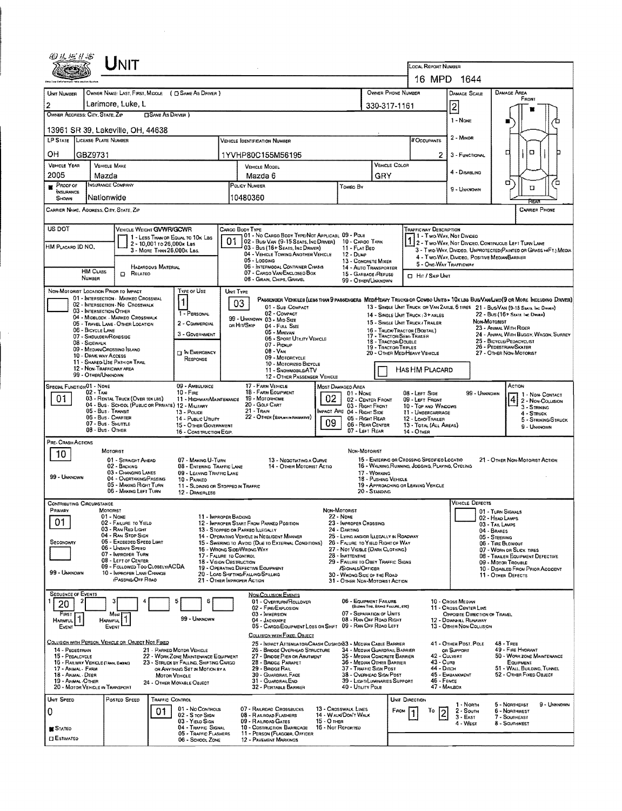| 四丛标》55                                                     |                                         | UNIT                                                                     |                            |                                                                                |           |                                                                                                                                      |                                                                                                                   |                                                                                          |                                      |                      |                                                                                                 |                                                                                                      |                              |                                                                                                                         |                     |  |
|------------------------------------------------------------|-----------------------------------------|--------------------------------------------------------------------------|----------------------------|--------------------------------------------------------------------------------|-----------|--------------------------------------------------------------------------------------------------------------------------------------|-------------------------------------------------------------------------------------------------------------------|------------------------------------------------------------------------------------------|--------------------------------------|----------------------|-------------------------------------------------------------------------------------------------|------------------------------------------------------------------------------------------------------|------------------------------|-------------------------------------------------------------------------------------------------------------------------|---------------------|--|
|                                                            |                                         |                                                                          |                            |                                                                                |           |                                                                                                                                      |                                                                                                                   |                                                                                          |                                      |                      | LOCAL REPORT NUMBER                                                                             |                                                                                                      |                              |                                                                                                                         |                     |  |
|                                                            |                                         |                                                                          |                            | OWNER NAME: LAST, FIRST, MIDDLE ( C) SAME AS DRIVER )                          |           |                                                                                                                                      |                                                                                                                   |                                                                                          | OWNER PHONE NUMBER                   |                      | 16 MPD 1644                                                                                     |                                                                                                      |                              | <b>DAMAGE AREA</b>                                                                                                      |                     |  |
| UNIT NUMBER<br>2                                           |                                         | Larimore, Luke, L                                                        |                            |                                                                                |           |                                                                                                                                      |                                                                                                                   |                                                                                          | 330-317-1161                         |                      |                                                                                                 | DAMAGE SCALE                                                                                         |                              | FRONT                                                                                                                   |                     |  |
| OWNER ADDRESS: CITY, STATE, ZIP                            |                                         |                                                                          | <b>CISAME AS DRIVER</b> )  |                                                                                |           |                                                                                                                                      |                                                                                                                   |                                                                                          |                                      |                      |                                                                                                 | 2<br>1 - NONE                                                                                        |                              |                                                                                                                         |                     |  |
|                                                            |                                         | 13961 SR 39, Lakeville, OH, 44638                                        |                            |                                                                                |           |                                                                                                                                      |                                                                                                                   |                                                                                          |                                      |                      |                                                                                                 |                                                                                                      |                              |                                                                                                                         |                     |  |
| LP STATE LICENSE PLATE NUMBER                              |                                         |                                                                          |                            |                                                                                |           | <b>VEHICLE IDENTIFICATION NUMBER</b>                                                                                                 |                                                                                                                   |                                                                                          |                                      |                      | # Occupants                                                                                     | 2 - MINOR                                                                                            |                              |                                                                                                                         |                     |  |
| OН                                                         | GBZ9731                                 |                                                                          |                            |                                                                                |           | 1YVHP80C155M56195                                                                                                                    |                                                                                                                   |                                                                                          |                                      |                      | 2                                                                                               | 3 - FUNCTIONAL                                                                                       |                              | o<br>α                                                                                                                  |                     |  |
| VEHICLE YEAR                                               |                                         | <b>VEHICLE MAKE</b>                                                      |                            |                                                                                |           | <b>VEHICLE MODEL</b>                                                                                                                 |                                                                                                                   |                                                                                          |                                      | <b>VEHICLE COLOR</b> |                                                                                                 | 4 - DISABLING                                                                                        |                              |                                                                                                                         |                     |  |
| 2005<br>Proof of                                           | Mazda                                   | INSURANCE COMPANY                                                        |                            |                                                                                |           | Mazda 6<br>POLICY NUMBER                                                                                                             |                                                                                                                   | Toweo By                                                                                 | GRY                                  |                      |                                                                                                 |                                                                                                      |                              | σ<br>а                                                                                                                  | ้อ                  |  |
| INSURANCE<br>SHOWN                                         | Nationwide                              |                                                                          |                            |                                                                                |           | 10480360                                                                                                                             |                                                                                                                   |                                                                                          |                                      |                      |                                                                                                 | 9 - Unknown                                                                                          |                              | Rear                                                                                                                    |                     |  |
| CARRIER NAME, ADDRESS, CITY, STATE, ZIP                    |                                         |                                                                          |                            |                                                                                |           |                                                                                                                                      |                                                                                                                   |                                                                                          |                                      |                      |                                                                                                 |                                                                                                      | <b>CARRIER PHONE</b>         |                                                                                                                         |                     |  |
| US DOT                                                     |                                         | VEHICLE WEIGHT GVWR/GCWR                                                 |                            |                                                                                |           | CARGO BODY TYPE<br>01 - No CARGO BODY TYPE/NOT APPLICABL 09 - POLE                                                                   |                                                                                                                   |                                                                                          |                                      |                      | TRAFFICWAY DESCRIPTION                                                                          |                                                                                                      |                              |                                                                                                                         |                     |  |
| HM Placard ID NO.                                          |                                         |                                                                          | 2 - 10,001 to 26,000x Las  | 1 - LESS THAN OR EQUAL TO 10K LBS                                              | 01        | 02 - Busi Van (9-15 Seats, Inc Driver)<br>03 - Bus (16+ Seats, Inc DRIVER)                                                           |                                                                                                                   | 10 - CARGO TANK<br>11 - FLAT BEO                                                         |                                      |                      | 1 - Two Way, Not Divideo                                                                        |                                                                                                      |                              | 1 2 - T WO-WAY, NOT DIVIDEO, CONTINUOUS LEFT TURN LANE                                                                  |                     |  |
|                                                            |                                         |                                                                          | 3 - MORE THAN 26.000K LBS. |                                                                                |           | 04 - VEHICLE TOWING ANOTHER VEHICLE<br>05 - Logging                                                                                  |                                                                                                                   | 12 - Dump<br>13 - CONCRETE MIXER                                                         |                                      |                      |                                                                                                 |                                                                                                      |                              | 3 - Two-Way, Divideo, UNPROTECTED(PAINTED OR GRASS *4FT.) MEOIA<br>4 - Two-Way, Divideo, Positive Median Barrier        |                     |  |
|                                                            | <b>HM CLASS</b>                         | RELATEO<br>o                                                             | HAZARDOUS MATERIAL         |                                                                                |           |                                                                                                                                      | 06 - INTERMOOAL CONTAINER CHASIS<br>14 - Auto Transporter<br>07 - CARGO VAN/ENCLOSEO BOX<br>15 - GARBAGE / REFUSE |                                                                                          |                                      |                      | <b>D</b> Hit / Skip Unit                                                                        | 5 - ONE-WAY TRAFFICWAY                                                                               |                              |                                                                                                                         |                     |  |
|                                                            | NUMBER                                  |                                                                          |                            | TYPE OF USE                                                                    |           | 08 - GRAIN, CHIPS, GRAVEL                                                                                                            |                                                                                                                   | 99 - OTHER/UNKNOWN                                                                       |                                      |                      |                                                                                                 |                                                                                                      |                              |                                                                                                                         |                     |  |
| NON-MOTORIST LOCATION PRIOR TO IMPACT                      |                                         | 01 - INTERSECTION - MARKED CROSSWAL<br>02 - INTERSECTION - NO CROSSWALK  |                            | 1                                                                              | UNIT TYPE | PASSENGER VEHICLES (LESS THAN 9 PASSENGERS MEDITIEAVY TRUCKS OR COMBO UNITS > 10K LBS BUS/VAM/LIMO(9 OR MORE INCLUDING DRIVER)<br>03 |                                                                                                                   |                                                                                          |                                      |                      |                                                                                                 |                                                                                                      |                              |                                                                                                                         |                     |  |
|                                                            | 03 - INTERSECTION OTHER                 | 04 - MIDBLOCK - MARKEO CROSSWALK                                         |                            | 1 - PERSONAL                                                                   |           | 01 - Sus-Compact<br>02 - COMPACT                                                                                                     |                                                                                                                   |                                                                                          |                                      |                      | 14 - SINGLE UNIT TRUCK: 3+ AXLES                                                                |                                                                                                      |                              | 13 - SINGLE UNIT TRUCK OR VAN 2AXLE, 6 TIRES 21 - BUS/VAN (9-15 SEATS, INC DRIVER)<br>22 - Bus (16+ Seats, Inc. Driver) |                     |  |
|                                                            | 06 - BICYCLE LANE                       | 05 - TRAVEL LANE - OTHER LOCATION                                        |                            | 2 - COMMERCIAL                                                                 |           | 99 - UNKNOWN 03 - Mrd Size<br>ов Ніт/Sкір<br>04 - FULL SIZE<br>05 - MINIVAN                                                          |                                                                                                                   |                                                                                          |                                      |                      | 15 - SINGLE UNIT TRUCK / TRAILER<br>16 - TRUCK/TRACTOR (BOBTAIL)                                |                                                                                                      | NON-MOTORIST                 | 23 - ANIMAL WITH RIDER                                                                                                  |                     |  |
|                                                            | 07 - SHOULDER/ROADSIDE<br>08 - Sidewalk |                                                                          |                            | 3 - Government                                                                 |           | 06 - SPORT UTILITY VEHICLE<br>07 - Proxue                                                                                            |                                                                                                                   |                                                                                          | 18 - TRACTOR/DOUBLE                  |                      | 17 - TRACTOR/SEMI-TRAILER                                                                       |                                                                                                      |                              | 24 - ANIMAL WITH BUGGY, WAGON, SURREY<br>25 - BICYCLE/PEDACYCLIST                                                       |                     |  |
|                                                            | 10 - DRIVE WAY ACCESS                   | 09 - MEDIAN/CROSSING ISLAND                                              |                            | <b>THE EMERGENCY</b><br>RESPONSE                                               |           | 08 - Van<br>09 - MOTORCYCLE                                                                                                          |                                                                                                                   |                                                                                          | 19 - TRACTOR/TRIPLES                 |                      | 20 - OTHER MEDIHEAVY VEHICLE                                                                    |                                                                                                      |                              | 26 - PEDESTRIAN/SKATER<br>27 - OTHER NON-MOTORIST                                                                       |                     |  |
|                                                            | 99 - OTHER/UNKNOWN                      | 11 - SHARED USE PATH OR TRAIL<br>12 - NON-TRAFFICWAY AREA                |                            |                                                                                |           | 10 - MOTORIZEO BICYCLE<br>11 - SNOWMORLE/ATV                                                                                         |                                                                                                                   |                                                                                          |                                      |                      | HAS HM PLACARD                                                                                  |                                                                                                      |                              |                                                                                                                         |                     |  |
| SPECIAL FUNCTION 01 - NONE                                 |                                         |                                                                          |                            | 09 - AMBULANCE                                                                 |           | 12 - OTHER PASSENGER VEHICLE<br>17 - FARM VEHICLE                                                                                    |                                                                                                                   | MOST DAMAGEO AREA                                                                        |                                      |                      |                                                                                                 |                                                                                                      |                              | ACTION                                                                                                                  |                     |  |
| 01                                                         | $02 - TAXI$                             | 03 - RENTAL TRUCK (OVER 10KLBS)                                          |                            | $10 - F_{IRE}$<br>11 - HIGHWAY/MAINTENANCE                                     |           | 18 - FARM EQUIPMENT<br>19 - Мотокноме                                                                                                | 02                                                                                                                | $01 - None$<br>02 - CENTER FRONT                                                         |                                      |                      | 08 - LEFT SIDE<br>09 - LEFT FRONT                                                               |                                                                                                      | 99 - UNKNOWN                 | 1 - Non Contact<br>2 - NON-COLLISION                                                                                    |                     |  |
|                                                            | 05 - Bus / Transit                      | 04 - Bus - SCHOOL (PUBLIC OR PRIVATE) 12 - MILITARY                      |                            | 13 - Pouce                                                                     |           | 20 - GOLF CART<br>$21 -$ Train                                                                                                       |                                                                                                                   | 03 - RIGHT FRONT<br>MPACT ARE 04 - RIGHT SIDE                                            |                                      |                      | 10 - TOP AND WINDOWS<br>11 - UNDERCARRIAGE                                                      |                                                                                                      |                              | $3 -$ STRIKING<br>$4 -$ STRUCK                                                                                          |                     |  |
|                                                            | 08 - Bus - OTHER                        | 06 - Bus - CHARTER<br>07 - Bus - SHUTTLE                                 |                            | 14 - PUBLIC UTILITY<br>15 - OTHER GOVERNMENT                                   |           | 22 - OTHER (EXPLAN IN NARRATIVE)                                                                                                     | 09                                                                                                                | 05 - RIGHT REAR<br>06 - REAR CENTER<br>07 - LEFT REAR                                    |                                      |                      | 12 - LOAO/TRALER<br>13 - TOTAL (ALL AREAS)                                                      |                                                                                                      |                              | 9 - Unknown                                                                                                             | 5 - STRIKING/STRUCK |  |
| PRE-CRASH ACTIONS                                          |                                         |                                                                          |                            | 16 - CONSTRUCTION EQIP.                                                        |           |                                                                                                                                      |                                                                                                                   |                                                                                          |                                      |                      | 14 - Отнев                                                                                      |                                                                                                      |                              |                                                                                                                         |                     |  |
| 10                                                         |                                         | MOTORIST                                                                 |                            |                                                                                |           |                                                                                                                                      |                                                                                                                   | NON-MOTORIST                                                                             |                                      |                      |                                                                                                 |                                                                                                      |                              |                                                                                                                         |                     |  |
|                                                            |                                         | 01 - STRAIGHT AHEAD<br>02 - BACKING                                      |                            | 07 - MAKING U-TURN<br>08 - ENTERING TRAFFIC LANE                               |           | 13 - NEGOTIATING A CURVE<br>14 - OTHER MOTORIST ACTIO                                                                                |                                                                                                                   |                                                                                          |                                      |                      | 15 - ENTERING OR CROSSING SPECIFIED LOCATIO<br>16 - WALKING, RUNNING, JOGGING, PLAYING, CYCLING |                                                                                                      |                              | 21 - OTHER NON-MOTORIST ACTION                                                                                          |                     |  |
| 99 - UNKNOWN                                               |                                         | 03 - CHANGING LANES<br>04 - OVERTAKING/PASSING<br>05 - MAKING RIGHT TURN |                            | 09 - LEAVING TRAFFIC LANE<br>10 - PARKED<br>11 - SLOWING OR STOPPED IN TRAFFIC |           |                                                                                                                                      |                                                                                                                   |                                                                                          | 17 - WORKING<br>18 - PUSHING VEHICLE |                      | 19 - APPROACHING OR LEAVING VEHICLE                                                             |                                                                                                      |                              |                                                                                                                         |                     |  |
|                                                            |                                         | 06 - MAKING LEFT TURN                                                    |                            | 12 - DRIVERLESS                                                                |           |                                                                                                                                      |                                                                                                                   |                                                                                          | 20 - Standing                        |                      |                                                                                                 |                                                                                                      |                              |                                                                                                                         |                     |  |
| <b>CONTRIBUTING CIRCUMSTANCE</b><br>PRAARY                 |                                         | <b>MOTORIST</b>                                                          |                            |                                                                                |           |                                                                                                                                      | Non-Motorist                                                                                                      |                                                                                          |                                      |                      |                                                                                                 |                                                                                                      | <b>VEHICLE DEFECTS</b>       | 01 - TURN SIGNALS                                                                                                       |                     |  |
| 01                                                         |                                         | 01 - NONE<br>02 - FAILURE TO YIELD                                       |                            | 11 - IMPROPER BACKING                                                          |           | 12 - IMPROPER START FROM PARKED POSITION                                                                                             |                                                                                                                   | 22 - Nove<br>23 - IMPROPER CRDSSING                                                      |                                      |                      |                                                                                                 |                                                                                                      |                              | 02 - HEAD LAMPS<br>03 - TAIL LAMPS                                                                                      |                     |  |
|                                                            |                                         | 03 - RAN RED LIGHT<br>04 - RAN STOP SIGN<br>05 - Exceeped Speed Limit    |                            |                                                                                |           | 13 - Stopped or PARKED LLEGALLY<br>14 - OPERATING VEHICLE IN NEGLIGENT MANNER                                                        |                                                                                                                   | 24 - DARTING<br>25 - LYING ANDJOR LLEGALLY IN ROADWAY                                    |                                      |                      |                                                                                                 |                                                                                                      | 04 - BRAKES<br>05 - STEERING |                                                                                                                         |                     |  |
| SECONDARY                                                  |                                         | 06 - UNSAFE SPEED<br>07 - IMPROPER TURN                                  |                            | 17 - FALURE TO CONTROL                                                         |           | 15 - Swering to Avoid (Due to External Conditions)<br>16 - WRONG SIDE/WRONG WAY                                                      |                                                                                                                   | 26 - FALURE TO YIELD RIGHT OF WAY<br>27 - NOT VISBLE (DARK CLOTHING)<br>28 - INATTENTIVE |                                      |                      |                                                                                                 |                                                                                                      |                              | 06 - TIRE BLOWOUT<br>07 - WORN OR SLICK TIRES<br>08 - TRALER EQUIPMENT DEFECTIVE                                        |                     |  |
|                                                            |                                         | 08 - LEFT OF CENTER<br>09 - FOLLOWED TOO CLOSELY/ACDA                    |                            | 18 - Vision Obstruction                                                        |           | 19 - OPERATING DEFECTIVE EQUIPMENT                                                                                                   |                                                                                                                   | 29 - FAILURE TO OBEY TRAFFIC SIGNS<br>/SIGNALS/OFFICER                                   |                                      |                      |                                                                                                 |                                                                                                      |                              | 09 - MOTOR TROUBLE<br>10 - DISABLED FROM PRIOR ACCIDENT                                                                 |                     |  |
| 99 - UNKNOWN                                               |                                         | 10 - IMPROPER LANF CHANGE<br><b>PASSING/OFF ROAD</b>                     |                            |                                                                                |           | 20 - LOAD SHETING/FALLING/SPILLING<br>21 - OTHER IMPROPER ACTION                                                                     |                                                                                                                   | 30 - WRONG SIDE OF THE ROAD<br>31 - OTHER NON-MOTORIST ACTION                            |                                      |                      |                                                                                                 |                                                                                                      |                              | 11 - OTHER DEFECTS                                                                                                      |                     |  |
| <b>SEQUENCE OF EVENTS</b>                                  |                                         |                                                                          |                            |                                                                                |           | <b>NON-COLLISION EVENTS</b>                                                                                                          |                                                                                                                   |                                                                                          |                                      |                      |                                                                                                 |                                                                                                      |                              |                                                                                                                         |                     |  |
| 20                                                         |                                         |                                                                          |                            | 6                                                                              |           | 01 - Overturn/Rollover<br>02 - FIRE/EXPLOSION                                                                                        |                                                                                                                   | 06 - EQUIPMENT FAILURE                                                                   | (BLOWN TIRE, BRAKE FAILURE, ETC)     |                      |                                                                                                 | 10 - Cross Median<br>11 - CROSS CENTER LIKE                                                          |                              |                                                                                                                         |                     |  |
| Finst<br>HARMFUL                                           |                                         | Most<br><b>HARNFUL</b>                                                   |                            | 99 - UNKNOWN                                                                   |           | $03 -$ <b>IMMERSION</b><br>04 - JACKKNIFE                                                                                            |                                                                                                                   | 07 - SEPARATION OF UNITS<br>08 - RAN OFF ROAD RIGHT<br>09 - RAN OFF ROAD LEFT            |                                      |                      |                                                                                                 | OPPDSITE DIRECTION OF TRAVEL<br>12 - DOWNHAL RUNAWAY                                                 |                              |                                                                                                                         |                     |  |
| EVENT                                                      |                                         | EVENT                                                                    |                            |                                                                                |           | 05 - CARGO/EQUIPMENT LOSS OR SHIFT<br>COLLISION WITH FIXED, OBJECT                                                                   |                                                                                                                   |                                                                                          |                                      |                      |                                                                                                 | 13 - OTHER NON-COLLISION                                                                             |                              |                                                                                                                         |                     |  |
| 14 - PEDESTRIAN                                            |                                         | COLLISION WITH PERSON, VEHICLE OR OBJECT NOT FIXED                       |                            | 21 - PARKED MOTOR VEHICLE                                                      |           | 25 - IMPACT ATTENUATOR/CRASH CUSHIONS3 - MEDIAN CABLE BARRIER<br>26 - BRIDGE OVERHEAD STRUCTURE                                      |                                                                                                                   | 34 - MEQIAN GUARDRAIL BARRIER                                                            |                                      |                      |                                                                                                 | 41 - OTHER POST, POLE<br>OR SUPPORT                                                                  |                              | $48 - T$ REE<br>49 - FIRE HYORANT                                                                                       |                     |  |
| 15 - PEDALCYCLE<br>16 - RAILWAY VEHICLE (TRAN, ENGINE)     |                                         |                                                                          |                            | 22 - WORK ZONE MAINTENANCE EQUIPMENT<br>23 - STRUCK BY FALLING, SHIFTING CARGO |           | 27 - BROGE PIER OR ABUTMENT<br>28 - BAIOGE PARAPET                                                                                   |                                                                                                                   | 35 - MEDIAN CONCRETE BARRIER<br>36 - Median Other Barrier                                |                                      |                      | 43 - Cura                                                                                       | 42 - CULVERT                                                                                         |                              | 50 - WORK ZONE MAINTENANCE<br>EQUIPMENT                                                                                 |                     |  |
| 17 - Animal - Farm<br>18 - Animal Deer<br>19 - ANMAL OTHER |                                         |                                                                          | MOTOR VEHICLE              | OR ANYTHING SET IN MOTION BY A                                                 |           | 29 - BRIDGE RAIL<br>30 - GUARDRAIL FACE<br>31 - GUARDRAILEND                                                                         |                                                                                                                   | 37 - Traffic Sign Post<br>38 - Overhead Sign Post<br>39 - LIGHT/LUMINARIES SUPPORT       |                                      |                      |                                                                                                 | 44 - Dirch<br>51 - WALL, BULDING, TUNNEL<br>45 - EMBANKMENT<br>52 - OTHER FIXED OBJECT<br>46 - FENCE |                              |                                                                                                                         |                     |  |
| 20 - MOTOR VEHICLE IN TRANSPORT                            |                                         |                                                                          |                            | 24 - OTHER MOVABLE OBJECT                                                      |           | 32 - PORTABLE BARRIER                                                                                                                |                                                                                                                   | 40 - UTILITY POLE                                                                        |                                      |                      |                                                                                                 | 47 - MANBOX                                                                                          |                              |                                                                                                                         |                     |  |
| Unit Speed                                                 |                                         | Posted Speed                                                             | <b>TRAFFIC CONTROL</b>     | 01 - No CONTROLS                                                               |           | 07 - RAILROAD CROSSBUCKS                                                                                                             |                                                                                                                   | 13 - CROSSWALK LINES                                                                     |                                      | UNIT DIRECTION       |                                                                                                 | 1 - North                                                                                            |                              | 5 - NORTHEAST                                                                                                           | 9 - UNRNOWN         |  |
| 0                                                          |                                         |                                                                          | 01                         | 02 - S TOP SIGN<br>03 - YIELD SIGN                                             |           | 08 - RAILROAD FLASHERS<br>09 - RAILROAD GATES                                                                                        | 15 - О тиев                                                                                                       | 14 - WALK/DON'T WALK                                                                     |                                      | Евом                 | To<br>l2                                                                                        | 2 - South<br>$3 - EAST$<br>4 - West                                                                  |                              | 6 - Northwest<br>7 - SOUTHEAST<br>8 - SOUTHWEST                                                                         |                     |  |
| STATED                                                     |                                         |                                                                          |                            | 04 - TRAFFIC SIGNAL<br>05 - TRAFFIC FLASHERS                                   |           | 10 - COSTRUCTION BARRICADE<br>11 - PERSON (FLAGGER, OFFICER                                                                          | 16 - Nor Reported                                                                                                 |                                                                                          |                                      |                      |                                                                                                 |                                                                                                      |                              |                                                                                                                         |                     |  |
| ⊡ Estimated                                                |                                         |                                                                          |                            | 06 - SCHOOL ZONE                                                               |           | 12 - PAVEMENT MARKINGS                                                                                                               |                                                                                                                   |                                                                                          |                                      |                      |                                                                                                 |                                                                                                      |                              |                                                                                                                         |                     |  |

 $\bar{\beta}$  $\overline{a}$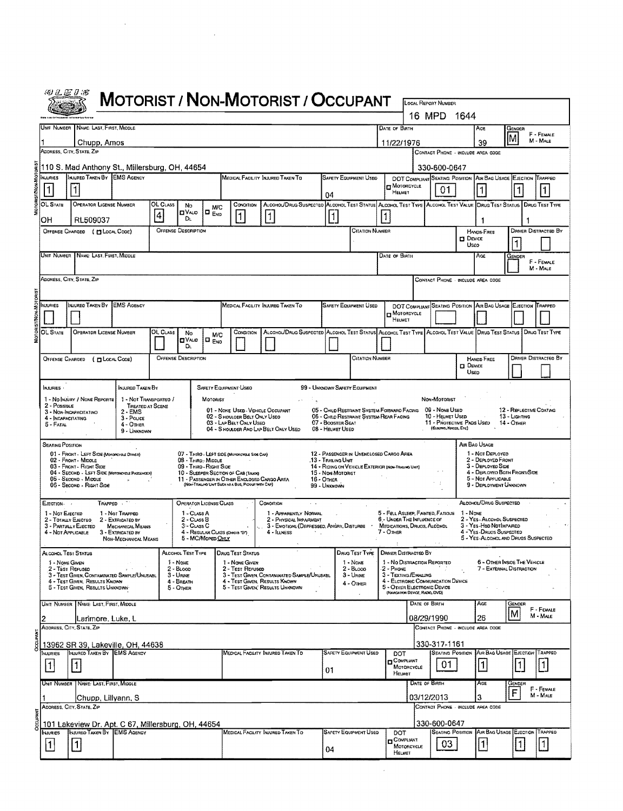|                                         |                                                          |                                                                                                                            |                                                                             |               |                                              |                                             |                                                                                                                                           | <b>MOTORIST / NON-MOTORIST / OCCUPANT</b>                                                                       |                |                                       |                                                                                              |  |                                                                      |               | LOCAL REPORT NUMBER                                                   |                         |                                                                                             |                             |                         |                             |  |
|-----------------------------------------|----------------------------------------------------------|----------------------------------------------------------------------------------------------------------------------------|-----------------------------------------------------------------------------|---------------|----------------------------------------------|---------------------------------------------|-------------------------------------------------------------------------------------------------------------------------------------------|-----------------------------------------------------------------------------------------------------------------|----------------|---------------------------------------|----------------------------------------------------------------------------------------------|--|----------------------------------------------------------------------|---------------|-----------------------------------------------------------------------|-------------------------|---------------------------------------------------------------------------------------------|-----------------------------|-------------------------|-----------------------------|--|
|                                         |                                                          |                                                                                                                            |                                                                             |               |                                              |                                             |                                                                                                                                           |                                                                                                                 |                |                                       |                                                                                              |  |                                                                      |               | 16 MPD 1644                                                           |                         |                                                                                             |                             |                         |                             |  |
|                                         |                                                          | UNIT NUMBER NAME: LAST, FIRST, MIDDLE                                                                                      |                                                                             |               |                                              |                                             |                                                                                                                                           |                                                                                                                 |                |                                       |                                                                                              |  | DATE OF BIRTH                                                        |               |                                                                       |                         | AGE                                                                                         | GENDER                      |                         | F - FEMALE                  |  |
|                                         |                                                          | Chupp, Amos<br>ADDRESS, CITY, STATE, ZIP                                                                                   |                                                                             |               |                                              |                                             |                                                                                                                                           |                                                                                                                 |                |                                       |                                                                                              |  | 11/22/1976                                                           |               |                                                                       |                         | 39<br>CONTACT PHONE - INCLUDE AREA CODE                                                     |                             |                         | M - MALE                    |  |
|                                         |                                                          | 110 S. Mad Anthony St., Millersburg, OH, 44654                                                                             |                                                                             |               |                                              |                                             |                                                                                                                                           |                                                                                                                 |                |                                       |                                                                                              |  |                                                                      |               | 330-600-0647                                                          |                         |                                                                                             |                             |                         |                             |  |
|                                         | NJURIES<br>1                                             | INJURED TAKEN BY EMS AGENCY                                                                                                |                                                                             |               |                                              |                                             |                                                                                                                                           | MEDICAL FACILITY INJURED TAKEN TO                                                                               |                | 04                                    | <b>SAFETY EQUIPMENT USED</b>                                                                 |  | <b>D</b> MOTORCYCLE<br>HELMET                                        |               | 01                                                                    |                         | DOT COMPLIANT SEATING POSITION AIR BAG USAGE EJECTION TRAPPED                               |                             |                         | 11                          |  |
|                                         | OL STATE                                                 | OPERATOR LICENSE NUMBER                                                                                                    |                                                                             | OL CLASS<br>4 | No<br><b>O</b> VALIO                         | M/C<br>$\overline{\mathbf{B}}_{\text{EMD}}$ | CONDITION                                                                                                                                 | ALCOHOL/DRUG SUSPECTED ALCOHOL TEST STATUS ALCOHOL TEST TYPE ALCOHOL TEST VALUE DRUG TEST STATUS DRUG TEST TYPE |                |                                       |                                                                                              |  |                                                                      |               |                                                                       |                         |                                                                                             |                             |                         |                             |  |
|                                         | OН                                                       | 1<br>11<br> 1<br>Dı.<br>RL509037<br><b>OFFENSE DESCRIPTION</b><br><b>CITATION NUMBER</b><br>OFFENSE CHARGED ( FLOCAL CODE) |                                                                             |               |                                              |                                             |                                                                                                                                           |                                                                                                                 |                |                                       |                                                                                              |  |                                                                      |               |                                                                       | <b>HANDS-FREE</b>       |                                                                                             |                             | DRIVER DISTRACTED BY    |                             |  |
|                                         |                                                          |                                                                                                                            |                                                                             |               |                                              |                                             |                                                                                                                                           |                                                                                                                 |                |                                       |                                                                                              |  |                                                                      |               |                                                                       | <b>D</b> Device<br>Useo |                                                                                             |                             |                         |                             |  |
|                                         | UNIT NUMBER   NAME: LAST, FIRST, MIDDLE<br>DATE OF BIRTH |                                                                                                                            |                                                                             |               |                                              |                                             |                                                                                                                                           |                                                                                                                 |                |                                       |                                                                                              |  |                                                                      |               | AGE                                                                   | Gender                  |                                                                                             | F - FEMALE<br>M - MALE      |                         |                             |  |
|                                         |                                                          | ADDRESS, CITY, STATE, ZIP                                                                                                  |                                                                             |               |                                              |                                             |                                                                                                                                           |                                                                                                                 |                |                                       |                                                                                              |  |                                                                      |               |                                                                       |                         | CONTACT PHONE - INCLUDE AREA CODE                                                           |                             |                         |                             |  |
|                                         | NJURIES                                                  | INJURED TAKEN BY EMS AGENCY                                                                                                |                                                                             |               |                                              |                                             |                                                                                                                                           | MEDICAL FACILITY INJURED TAKEN TO                                                                               |                |                                       | <b>SAFETY EQUIPMENT USED</b>                                                                 |  |                                                                      |               |                                                                       |                         | DOT COMPLIANT SEATING POSITION AIR BAG USAGE EJECTION TRAPPED                               |                             |                         |                             |  |
|                                         |                                                          |                                                                                                                            |                                                                             |               |                                              |                                             |                                                                                                                                           |                                                                                                                 |                |                                       |                                                                                              |  | MOTORCYCLE<br>HELMET                                                 |               |                                                                       |                         |                                                                                             |                             |                         |                             |  |
|                                         | OL State                                                 | <b>OPERATOR LICENSE NUMBER</b>                                                                                             |                                                                             | OL CLASS      | No<br><b>CIVALIO</b>                         | M/C<br>i□ <sub>ENO</sub>                    | CONDITION                                                                                                                                 | ALCOHOL/DRUG SUSPECTED ALCOHOL TEST STATUS ALCOHOL TEST TYPE ALCOHOL TEST VALUE DRUG TEST STATUS DRUG TEST TYPE |                |                                       |                                                                                              |  |                                                                      |               |                                                                       |                         |                                                                                             |                             |                         |                             |  |
|                                         |                                                          |                                                                                                                            |                                                                             |               | Dι<br><b>OFFENSE DESCRIPTION</b>             |                                             |                                                                                                                                           |                                                                                                                 |                |                                       | <b>CITATION NUMBER</b>                                                                       |  |                                                                      |               |                                                                       |                         | HANDS-FREE                                                                                  |                             |                         | <b>DRIVER DISTRACTED BY</b> |  |
| <b>OFFENSE CHARGED</b><br>(DLOCAL COOE) |                                                          |                                                                                                                            |                                                                             |               |                                              |                                             |                                                                                                                                           |                                                                                                                 |                |                                       |                                                                                              |  |                                                                      |               | $\Box$ Device<br>Usep                                                 |                         |                                                                                             |                             |                         |                             |  |
|                                         | NJURIES ·                                                |                                                                                                                            | INJURED TAKEN BY                                                            |               |                                              |                                             | SAFETY EQUIPMENT USEO                                                                                                                     |                                                                                                                 |                |                                       | 99 - UMKNOWN SAFETY EQUIPMENT                                                                |  |                                                                      |               |                                                                       |                         |                                                                                             |                             |                         |                             |  |
|                                         | $2 - P$ OSSIBLE                                          | 1 - No Injury / NONE REPORTE<br>3 - NON-INCAPACITATINO                                                                     | 1 - Not Transporteo /<br>TREATED AT SCENE<br>$2 - EMS$                      |               |                                              | MOTORIST                                    | 01 - NONE USED - VEHICLE OCCUPANT                                                                                                         |                                                                                                                 |                |                                       | 05 - CHILD RESTRAINT SYSTEM-FORWARD FACING 09 - NONE USED                                    |  |                                                                      |               | Non-Motorist                                                          |                         |                                                                                             |                             | 12 - REFLECTIVE COATING |                             |  |
|                                         | 4 - INCAPACITATING<br>5 - Fatal                          |                                                                                                                            | 3 - Pouce<br>4 - OTHER<br>9 - Unknown                                       |               |                                              |                                             | 02 - S HOULOER BELT ONLY USEO<br>03 - LAP BELT ONLY USED                                                                                  | 04 - S HOULDER AND LAP BELT ONLY USED                                                                           |                | 07 - BOOSTER SEAT<br>08 - HELMET USED | 06 - CHILD RESTRAINT SYSTEM-REAR FACING                                                      |  |                                                                      |               | 10 - HELMET USED<br>11 - PROTECTIVE PADS USED<br>(ELBOWS, KNEES, ETC) |                         |                                                                                             | 13 - Ligunnig<br>14 - OTHER |                         |                             |  |
|                                         | Seating Position                                         |                                                                                                                            |                                                                             |               |                                              |                                             |                                                                                                                                           |                                                                                                                 |                |                                       |                                                                                              |  |                                                                      |               |                                                                       |                         | AIR BAG USAGE                                                                               |                             |                         |                             |  |
|                                         |                                                          | 01 - FRONT - LEFT SIDE (MOTORCYCLE DRIVER)<br>02 - FRONT MIDDLE<br>03 - FRONT - RIGHT SIDE                                 |                                                                             |               | 08 - THRD, MIDDLE<br>09 - Third - Right Side |                                             | 07 - THIRO - LEFT SIDE (MOTORCYCLE SIDE CAR)                                                                                              |                                                                                                                 |                | .13 - Traking Unit                    | 12 - PASSENGER IN UNENCLOSED CARGO AREA<br>14 - RIDING ON VEHICLE EXTERIOR (NON-TRAINS UNIT) |  |                                                                      |               |                                                                       |                         | 1 - Not Deployed<br>2 - DEPLOYED FRONT<br>3 - DEPLOYED SIDE                                 |                             |                         |                             |  |
|                                         |                                                          | 04 - SECOND - LEFT SIDE (MOTORCYCLE PASSENGER)<br>05 - Second - Middle<br>06 - Second - RIGHT Side                         |                                                                             |               |                                              |                                             | 10 - SLEEPER SECTION OF CAB (TRUCK)<br>11 - PASSENGER IN OTHER ENCLOSED CARGO AREA<br>(NON-TRAILING UNIT SUCH AS A BUB, FICKAIR WITH CAP) |                                                                                                                 | 16 - OTHER     | 15 - Non-Motorist<br>99 - Unknown     |                                                                                              |  |                                                                      |               | $\cdot$                                                               |                         | 4 - DEPLOYED BOTH FRONT/SIDE<br>5 - Not APPLICABLE<br>9 - DEPLOYMENT UNKNOWN                |                             |                         |                             |  |
|                                         | EJECTION -                                               | TRAPPED                                                                                                                    |                                                                             |               | <b>OPERATOR LICENSE CLASS</b>                |                                             |                                                                                                                                           | CONOITION                                                                                                       |                |                                       |                                                                                              |  |                                                                      |               |                                                                       |                         | ALCOHOL/DRUG SUSPECTED                                                                      |                             |                         |                             |  |
|                                         | 1 - Not Exected<br>2 - TOTALLY EJECTEO                   |                                                                                                                            | 1 - Not Trapped<br>2 - EXTRICATED BY                                        |               | 1 - CLASS A<br>$2 - C \cup s B$              |                                             |                                                                                                                                           | 1 - APPARENTLY NORMAL<br>2 - PHYSICAL IMPARMENT                                                                 |                |                                       |                                                                                              |  | 6 - UNDER THE INFLUENCE OF                                           |               | 5 - FELL ASLEEP, FAINTED, FATIOUE                                     | 1 - None                | 2 - YES - ALCOHOL SUSPECTED                                                                 |                             |                         |                             |  |
|                                         | 4 - Not Applicable                                       | 3 - PARTIALLY EJECTED                                                                                                      | <b>MECHANICAL MEANS</b><br>3 - EXTRICATED BY<br><b>NON-MECHANICAL MEANS</b> |               | 3 - CLASS C<br>5 - MC/Moreo Orcy             |                                             | 4 - REGULAR CLASS (ONOIS D')                                                                                                              | 3 - EMOTIONL-(DEPRESSED, ANGRY, DISTURBE<br>4 - ILLNESS                                                         | $\sim$ $^{-1}$ |                                       |                                                                                              |  | MEDICATIONS, DRUOS, ALCOHOL<br>$7 -$ Other                           |               |                                                                       |                         | 3 - YES-HBD NOTIMPAIRED<br>4 - YES - DRUOS SUSPECTED<br>5 - YES-ALCOHOL AND DRUGS SUSPECTED |                             |                         |                             |  |
|                                         | ALCOHOL TEST STATUS                                      |                                                                                                                            |                                                                             |               | ALCOHOL TEST TYPE                            |                                             | <b>DRUG TEST STATUS</b>                                                                                                                   |                                                                                                                 |                |                                       | Daug Test Type                                                                               |  | <b>DRIVER DISTRACTED BY</b>                                          |               |                                                                       |                         |                                                                                             |                             |                         |                             |  |
|                                         | 1 - NONE GIVEN<br>2 - TEST REFUSED                       | 3 - TEST GIVEN, CONTAMINATED SAMPLE/UNUSABL                                                                                |                                                                             |               | 1 - NONE<br>2 - BLoop<br>3 - Urune           |                                             | 1 - NONE GIVEN<br>2 - Test Reruseo                                                                                                        | 3 - TEST GIVEN, CONTAMINATED SAMPLE/UNUSABL                                                                     |                |                                       | $1 - None$<br>$2 - B$ LOOD<br>$3 -$ Urne                                                     |  | 1 - No DISTRACTION REPORTED<br>$2 -$ Phone<br>3 - TEXTING / EMAILING |               |                                                                       |                         | 6 - OTHER INSIDE THE VEHICLE<br>7 - EXTERNAL DISTRACTION                                    |                             |                         |                             |  |
|                                         |                                                          | 4 - Test Given, Results Known<br>5 - TEST GIVEN, RESULTS UNKNOWN                                                           |                                                                             |               | 4 - Breath<br>$5 -$ Other                    |                                             | 4 - TEST GIVEN, RESULTS KNOWN                                                                                                             | 5 - TEST GIVEN, RESULTS UNKNOWN                                                                                 |                |                                       | 4 - OTHER                                                                                    |  | 5 - OTHER ELECTRONIC DEVICE<br>(NAMOATION DEVICE, RADIO, DVD)        |               | 4 - ELCTRONIC COMMUNICATION DEVICE                                    |                         |                                                                                             |                             |                         |                             |  |
|                                         |                                                          | UNIT NUMBER NAME LAST, FIRST, MIDDLE                                                                                       |                                                                             |               |                                              |                                             |                                                                                                                                           |                                                                                                                 |                |                                       |                                                                                              |  |                                                                      | DATE OF BIRTH |                                                                       |                         | Ace                                                                                         | Gender<br>M                 |                         | F - FEMALE<br>M - MALE      |  |
|                                         |                                                          | Larimore, Luke, L<br>ADDRESS, CITY, STATE, ZIP                                                                             |                                                                             |               |                                              |                                             |                                                                                                                                           |                                                                                                                 |                |                                       |                                                                                              |  |                                                                      | 08/29/1990    |                                                                       |                         | 26<br>CONTACT PHONE - INCLUDE AREA CODE                                                     |                             |                         |                             |  |
|                                         |                                                          | 13962 SR 39, Lakeville, OH, 44638<br>INJURED TAKEN BY EMS AGENCY                                                           |                                                                             |               |                                              |                                             |                                                                                                                                           | MEDICAL FACILITY INJURED TAKEN TO                                                                               |                |                                       | <b>SAFETY EQUIPMENT USED</b>                                                                 |  |                                                                      |               | 330-317-1161                                                          |                         | <b>SEATING POSITION AIR BAG USAGE EJECTION</b>                                              |                             |                         | TRAPPED                     |  |
|                                         | NJURIES<br>$\vert$ 1                                     | $\vert$ 1 $\vert$                                                                                                          |                                                                             |               |                                              |                                             |                                                                                                                                           |                                                                                                                 |                | 01                                    |                                                                                              |  | DOT<br>COMPLIANT<br>MOTORCYCLE                                       |               | 01                                                                    |                         | $\vert$ 1                                                                                   |                             | $\mathbf{1}$            | 1                           |  |
|                                         |                                                          | UNIT NUMBER   NAME: LAST, FIRST, MIDDLE                                                                                    |                                                                             |               |                                              |                                             |                                                                                                                                           |                                                                                                                 |                |                                       |                                                                                              |  | HELMET                                                               | DATE OF BIRTH |                                                                       |                         | AGE                                                                                         | Gewoer                      |                         | F - FEMALE                  |  |
|                                         |                                                          | Chupp, Lillyann, S<br>ADDRESS, CITY, STATE, ZIP                                                                            |                                                                             |               |                                              |                                             |                                                                                                                                           |                                                                                                                 |                |                                       |                                                                                              |  |                                                                      | 03/12/2013    |                                                                       |                         | з<br>CONTACT PHONE - INCLUDE AREA CODE                                                      | F                           |                         | M - MALE                    |  |
|                                         |                                                          | 101 Lakeview Dr. Apt. C 67, Millersburg, OH, 44654                                                                         |                                                                             |               |                                              |                                             |                                                                                                                                           |                                                                                                                 |                |                                       |                                                                                              |  |                                                                      |               | 330-600-0647                                                          |                         |                                                                                             |                             |                         |                             |  |
|                                         | <b>INJURIES</b>                                          | INJURED TAKEN BY EMS AGENCY                                                                                                |                                                                             |               |                                              |                                             |                                                                                                                                           | MEDICAL FACILITY INJURED TAKEN TO                                                                               |                |                                       | SAFETY EQUIPMENT USED                                                                        |  | DOT<br>COMPLIANT                                                     |               | <b>SEATING POSITION</b>                                               |                         | AIR BAG USAGE EJECTION                                                                      |                             |                         | TRAPPED                     |  |
|                                         | $\vert$ 1 $\vert$                                        | $\boxed{1}$                                                                                                                |                                                                             |               |                                              |                                             |                                                                                                                                           |                                                                                                                 |                | 04                                    |                                                                                              |  | MOTORCYCLE<br>HELMET                                                 |               | 03                                                                    |                         | $\vert$ 1                                                                                   | $\vert$ 1 $\vert$           |                         | 11.                         |  |

 $\sim$   $\sim$